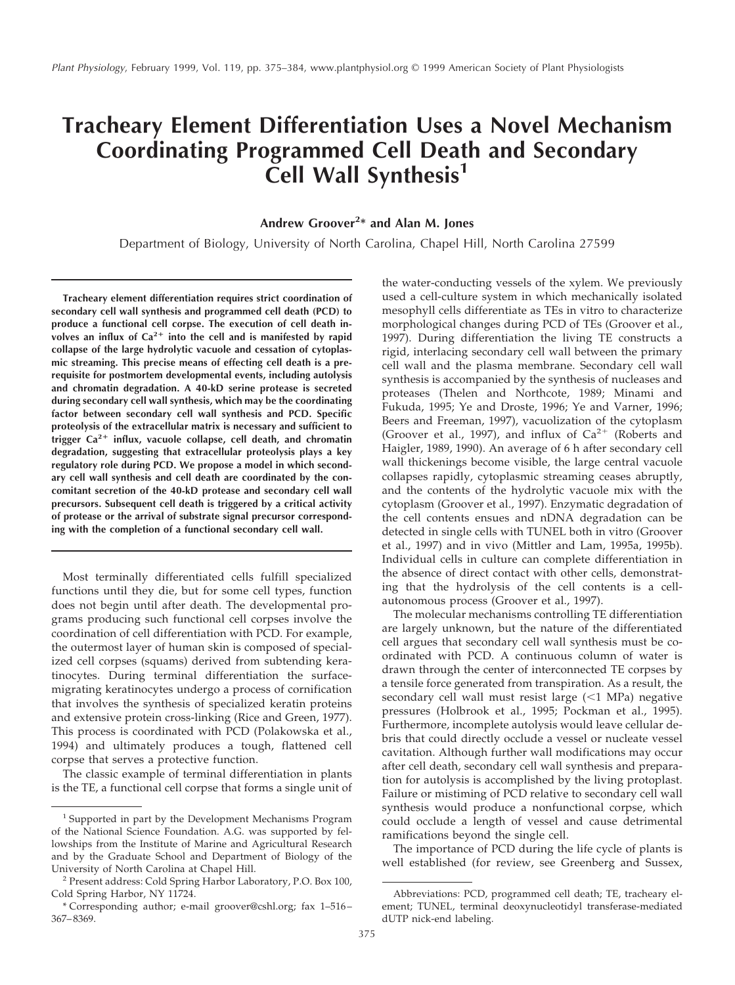# **Tracheary Element Differentiation Uses a Novel Mechanism Coordinating Programmed Cell Death and Secondary Cell Wall Synthesis<sup>1</sup>**

# **Andrew Groover<sup>2</sup> \* and Alan M. Jones**

Department of Biology, University of North Carolina, Chapel Hill, North Carolina 27599

**Tracheary element differentiation requires strict coordination of secondary cell wall synthesis and programmed cell death (PCD) to produce a functional cell corpse. The execution of cell death in**volves an influx of  $Ca^{2+}$  into the cell and is manifested by rapid **collapse of the large hydrolytic vacuole and cessation of cytoplasmic streaming. This precise means of effecting cell death is a prerequisite for postmortem developmental events, including autolysis and chromatin degradation. A 40-kD serine protease is secreted during secondary cell wall synthesis, which may be the coordinating factor between secondary cell wall synthesis and PCD. Specific proteolysis of the extracellular matrix is necessary and sufficient to trigger Ca2**<sup>1</sup> **influx, vacuole collapse, cell death, and chromatin degradation, suggesting that extracellular proteolysis plays a key regulatory role during PCD. We propose a model in which secondary cell wall synthesis and cell death are coordinated by the concomitant secretion of the 40-kD protease and secondary cell wall precursors. Subsequent cell death is triggered by a critical activity of protease or the arrival of substrate signal precursor corresponding with the completion of a functional secondary cell wall.**

Most terminally differentiated cells fulfill specialized functions until they die, but for some cell types, function does not begin until after death. The developmental programs producing such functional cell corpses involve the coordination of cell differentiation with PCD. For example, the outermost layer of human skin is composed of specialized cell corpses (squams) derived from subtending keratinocytes. During terminal differentiation the surfacemigrating keratinocytes undergo a process of cornification that involves the synthesis of specialized keratin proteins and extensive protein cross-linking (Rice and Green, 1977). This process is coordinated with PCD (Polakowska et al., 1994) and ultimately produces a tough, flattened cell corpse that serves a protective function.

The classic example of terminal differentiation in plants is the TE, a functional cell corpse that forms a single unit of the water-conducting vessels of the xylem. We previously used a cell-culture system in which mechanically isolated mesophyll cells differentiate as TEs in vitro to characterize morphological changes during PCD of TEs (Groover et al., 1997). During differentiation the living TE constructs a rigid, interlacing secondary cell wall between the primary cell wall and the plasma membrane. Secondary cell wall synthesis is accompanied by the synthesis of nucleases and proteases (Thelen and Northcote, 1989; Minami and Fukuda, 1995; Ye and Droste, 1996; Ye and Varner, 1996; Beers and Freeman, 1997), vacuolization of the cytoplasm (Groover et al., 1997), and influx of  $Ca^{2+}$  (Roberts and Haigler, 1989, 1990). An average of 6 h after secondary cell wall thickenings become visible, the large central vacuole collapses rapidly, cytoplasmic streaming ceases abruptly, and the contents of the hydrolytic vacuole mix with the cytoplasm (Groover et al., 1997). Enzymatic degradation of the cell contents ensues and nDNA degradation can be detected in single cells with TUNEL both in vitro (Groover et al., 1997) and in vivo (Mittler and Lam, 1995a, 1995b). Individual cells in culture can complete differentiation in the absence of direct contact with other cells, demonstrating that the hydrolysis of the cell contents is a cellautonomous process (Groover et al., 1997).

The molecular mechanisms controlling TE differentiation are largely unknown, but the nature of the differentiated cell argues that secondary cell wall synthesis must be coordinated with PCD. A continuous column of water is drawn through the center of interconnected TE corpses by a tensile force generated from transpiration. As a result, the secondary cell wall must resist large  $(<1$  MPa) negative pressures (Holbrook et al., 1995; Pockman et al., 1995). Furthermore, incomplete autolysis would leave cellular debris that could directly occlude a vessel or nucleate vessel cavitation. Although further wall modifications may occur after cell death, secondary cell wall synthesis and preparation for autolysis is accomplished by the living protoplast. Failure or mistiming of PCD relative to secondary cell wall synthesis would produce a nonfunctional corpse, which could occlude a length of vessel and cause detrimental ramifications beyond the single cell.

The importance of PCD during the life cycle of plants is well established (for review, see Greenberg and Sussex,

<sup>&</sup>lt;sup>1</sup> Supported in part by the Development Mechanisms Program of the National Science Foundation. A.G. was supported by fellowships from the Institute of Marine and Agricultural Research and by the Graduate School and Department of Biology of the University of North Carolina at Chapel Hill.

<sup>2</sup> Present address: Cold Spring Harbor Laboratory, P.O. Box 100, Cold Spring Harbor, NY 11724.

<sup>\*</sup> Corresponding author; e-mail groover@cshl.org; fax 1–516– 367–8369.

Abbreviations: PCD, programmed cell death; TE, tracheary element; TUNEL, terminal deoxynucleotidyl transferase-mediated dUTP nick-end labeling.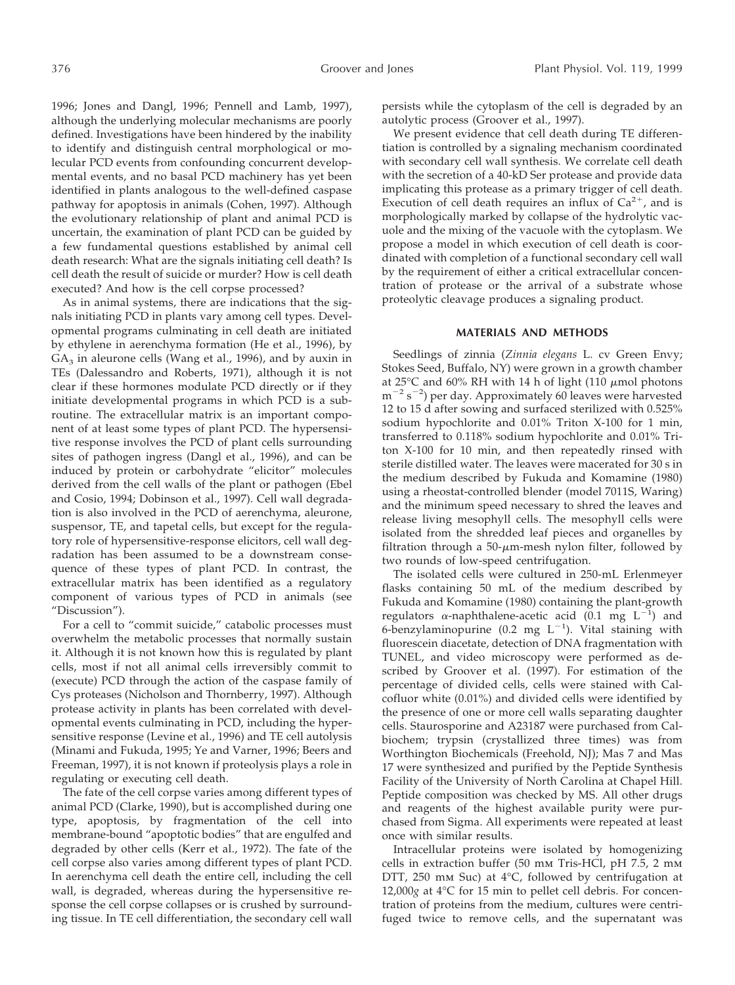1996; Jones and Dangl, 1996; Pennell and Lamb, 1997), although the underlying molecular mechanisms are poorly defined. Investigations have been hindered by the inability to identify and distinguish central morphological or molecular PCD events from confounding concurrent developmental events, and no basal PCD machinery has yet been identified in plants analogous to the well-defined caspase pathway for apoptosis in animals (Cohen, 1997). Although the evolutionary relationship of plant and animal PCD is uncertain, the examination of plant PCD can be guided by a few fundamental questions established by animal cell death research: What are the signals initiating cell death? Is cell death the result of suicide or murder? How is cell death executed? And how is the cell corpse processed?

As in animal systems, there are indications that the signals initiating PCD in plants vary among cell types. Developmental programs culminating in cell death are initiated by ethylene in aerenchyma formation (He et al., 1996), by  $GA<sub>3</sub>$  in aleurone cells (Wang et al., 1996), and by auxin in TEs (Dalessandro and Roberts, 1971), although it is not clear if these hormones modulate PCD directly or if they initiate developmental programs in which PCD is a subroutine. The extracellular matrix is an important component of at least some types of plant PCD. The hypersensitive response involves the PCD of plant cells surrounding sites of pathogen ingress (Dangl et al., 1996), and can be induced by protein or carbohydrate "elicitor" molecules derived from the cell walls of the plant or pathogen (Ebel and Cosio, 1994; Dobinson et al., 1997). Cell wall degradation is also involved in the PCD of aerenchyma, aleurone, suspensor, TE, and tapetal cells, but except for the regulatory role of hypersensitive-response elicitors, cell wall degradation has been assumed to be a downstream consequence of these types of plant PCD. In contrast, the extracellular matrix has been identified as a regulatory component of various types of PCD in animals (see "Discussion").

For a cell to "commit suicide," catabolic processes must overwhelm the metabolic processes that normally sustain it. Although it is not known how this is regulated by plant cells, most if not all animal cells irreversibly commit to (execute) PCD through the action of the caspase family of Cys proteases (Nicholson and Thornberry, 1997). Although protease activity in plants has been correlated with developmental events culminating in PCD, including the hypersensitive response (Levine et al., 1996) and TE cell autolysis (Minami and Fukuda, 1995; Ye and Varner, 1996; Beers and Freeman, 1997), it is not known if proteolysis plays a role in regulating or executing cell death.

The fate of the cell corpse varies among different types of animal PCD (Clarke, 1990), but is accomplished during one type, apoptosis, by fragmentation of the cell into membrane-bound "apoptotic bodies" that are engulfed and degraded by other cells (Kerr et al., 1972). The fate of the cell corpse also varies among different types of plant PCD. In aerenchyma cell death the entire cell, including the cell wall, is degraded, whereas during the hypersensitive response the cell corpse collapses or is crushed by surrounding tissue. In TE cell differentiation, the secondary cell wall

persists while the cytoplasm of the cell is degraded by an autolytic process (Groover et al., 1997).

We present evidence that cell death during TE differentiation is controlled by a signaling mechanism coordinated with secondary cell wall synthesis. We correlate cell death with the secretion of a 40-kD Ser protease and provide data implicating this protease as a primary trigger of cell death. Execution of cell death requires an influx of  $Ca^{2+}$ , and is morphologically marked by collapse of the hydrolytic vacuole and the mixing of the vacuole with the cytoplasm. We propose a model in which execution of cell death is coordinated with completion of a functional secondary cell wall by the requirement of either a critical extracellular concentration of protease or the arrival of a substrate whose proteolytic cleavage produces a signaling product.

### **MATERIALS AND METHODS**

Seedlings of zinnia (*Zinnia elegans* L. cv Green Envy; Stokes Seed, Buffalo, NY) were grown in a growth chamber at 25 $\degree$ C and 60% RH with 14 h of light (110  $\mu$ mol photons  $m^{-2}$  s<sup>-2</sup>) per day. Approximately 60 leaves were harvested 12 to 15 d after sowing and surfaced sterilized with 0.525% sodium hypochlorite and 0.01% Triton X-100 for 1 min, transferred to 0.118% sodium hypochlorite and 0.01% Triton X-100 for 10 min, and then repeatedly rinsed with sterile distilled water. The leaves were macerated for 30 s in the medium described by Fukuda and Komamine (1980) using a rheostat-controlled blender (model 7011S, Waring) and the minimum speed necessary to shred the leaves and release living mesophyll cells. The mesophyll cells were isolated from the shredded leaf pieces and organelles by filtration through a  $50$ - $\mu$ m-mesh nylon filter, followed by two rounds of low-speed centrifugation.

The isolated cells were cultured in 250-mL Erlenmeyer flasks containing 50 mL of the medium described by Fukuda and Komamine (1980) containing the plant-growth regulators  $\alpha$ -naphthalene-acetic acid (0.1 mg L<sup>-1</sup>) and 6-benzylaminopurine (0.2 mg  $L^{-1}$ ). Vital staining with fluorescein diacetate, detection of DNA fragmentation with TUNEL, and video microscopy were performed as described by Groover et al. (1997). For estimation of the percentage of divided cells, cells were stained with Calcofluor white (0.01%) and divided cells were identified by the presence of one or more cell walls separating daughter cells. Staurosporine and A23187 were purchased from Calbiochem; trypsin (crystallized three times) was from Worthington Biochemicals (Freehold, NJ); Mas 7 and Mas 17 were synthesized and purified by the Peptide Synthesis Facility of the University of North Carolina at Chapel Hill. Peptide composition was checked by MS. All other drugs and reagents of the highest available purity were purchased from Sigma. All experiments were repeated at least once with similar results.

Intracellular proteins were isolated by homogenizing cells in extraction buffer (50 mm Tris-HCl, pH 7.5, 2 mm DTT, 250 mm Suc) at 4°C, followed by centrifugation at 12,000*g* at 4°C for 15 min to pellet cell debris. For concentration of proteins from the medium, cultures were centrifuged twice to remove cells, and the supernatant was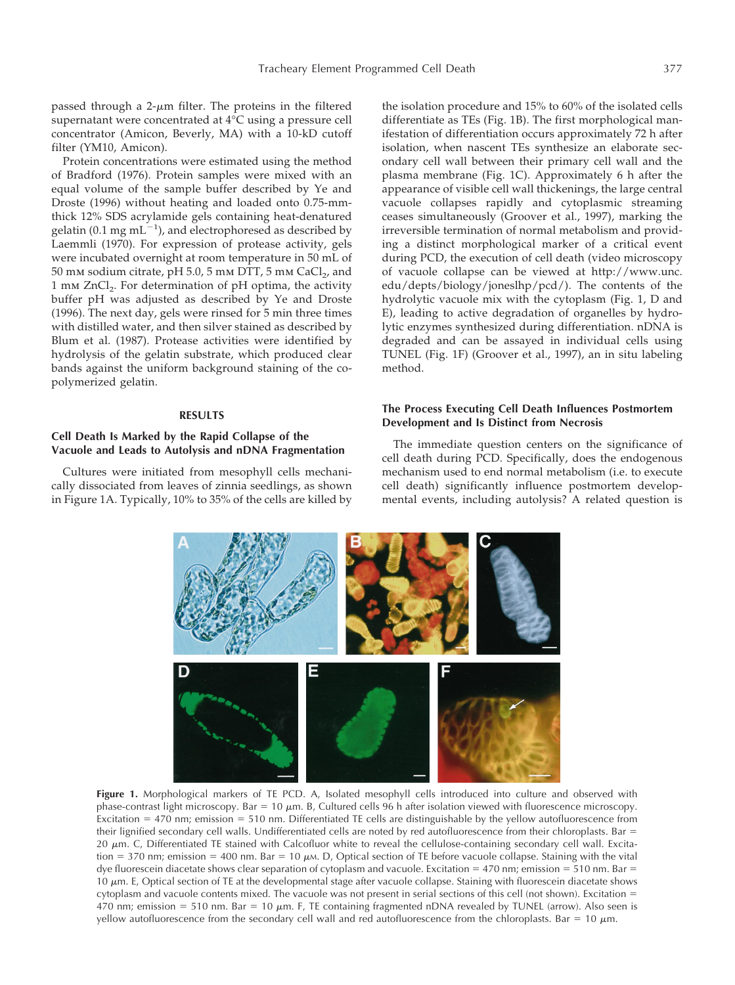passed through a  $2$ - $\mu$ m filter. The proteins in the filtered supernatant were concentrated at 4°C using a pressure cell concentrator (Amicon, Beverly, MA) with a 10-kD cutoff filter (YM10, Amicon).

Protein concentrations were estimated using the method of Bradford (1976). Protein samples were mixed with an equal volume of the sample buffer described by Ye and Droste (1996) without heating and loaded onto 0.75-mmthick 12% SDS acrylamide gels containing heat-denatured gelatin (0.1 mg mL $^{-1}$ ), and electrophoresed as described by Laemmli (1970). For expression of protease activity, gels were incubated overnight at room temperature in 50 mL of 50 mm sodium citrate,  $pH$  5.0, 5 mm DTT, 5 mm CaCl<sub>2</sub>, and 1 mm ZnCl<sub>2</sub>. For determination of pH optima, the activity buffer pH was adjusted as described by Ye and Droste (1996). The next day, gels were rinsed for 5 min three times with distilled water, and then silver stained as described by Blum et al. (1987). Protease activities were identified by hydrolysis of the gelatin substrate, which produced clear bands against the uniform background staining of the copolymerized gelatin.

#### **RESULTS**

#### **Cell Death Is Marked by the Rapid Collapse of the Vacuole and Leads to Autolysis and nDNA Fragmentation**

Cultures were initiated from mesophyll cells mechanically dissociated from leaves of zinnia seedlings, as shown in Figure 1A. Typically, 10% to 35% of the cells are killed by

the isolation procedure and 15% to 60% of the isolated cells differentiate as TEs (Fig. 1B). The first morphological manifestation of differentiation occurs approximately 72 h after isolation, when nascent TEs synthesize an elaborate secondary cell wall between their primary cell wall and the plasma membrane (Fig. 1C). Approximately 6 h after the appearance of visible cell wall thickenings, the large central vacuole collapses rapidly and cytoplasmic streaming ceases simultaneously (Groover et al., 1997), marking the irreversible termination of normal metabolism and providing a distinct morphological marker of a critical event during PCD, the execution of cell death (video microscopy of vacuole collapse can be viewed at http://www.unc. edu/depts/biology/joneslhp/pcd/). The contents of the hydrolytic vacuole mix with the cytoplasm (Fig. 1, D and E), leading to active degradation of organelles by hydrolytic enzymes synthesized during differentiation. nDNA is degraded and can be assayed in individual cells using TUNEL (Fig. 1F) (Groover et al., 1997), an in situ labeling method.

## **The Process Executing Cell Death Influences Postmortem Development and Is Distinct from Necrosis**

The immediate question centers on the significance of cell death during PCD. Specifically, does the endogenous mechanism used to end normal metabolism (i.e. to execute cell death) significantly influence postmortem developmental events, including autolysis? A related question is



phase-contrast light microscopy. Bar = 10  $\mu$ m. B, Cultured cells 96 h after isolation viewed with fluorescence microscopy. Excitation  $= 470$  nm; emission  $= 510$  nm. Differentiated TE cells are distinguishable by the yellow autofluorescence from their lignified secondary cell walls. Undifferentiated cells are noted by red autofluorescence from their chloroplasts. Bar  $=$  $20 \mu$ m. C, Differentiated TE stained with Calcofluor white to reveal the cellulose-containing secondary cell wall. Excitation = 370 nm; emission = 400 nm. Bar = 10  $\mu$ m. D, Optical section of TE before vacuole collapse. Staining with the vital dye fluorescein diacetate shows clear separation of cytoplasm and vacuole. Excitation = 470 nm; emission = 510 nm. Bar =  $10 \mu$ m. E, Optical section of TE at the developmental stage after vacuole collapse. Staining with fluorescein diacetate shows cytoplasm and vacuole contents mixed. The vacuole was not present in serial sections of this cell (not shown). Excitation = 470 nm; emission = 510 nm. Bar = 10  $\mu$ m. F, TE containing fragmented nDNA revealed by TUNEL (arrow). Also seen is yellow autofluorescence from the secondary cell wall and red autofluorescence from the chloroplasts. Bar = 10  $\mu$ m.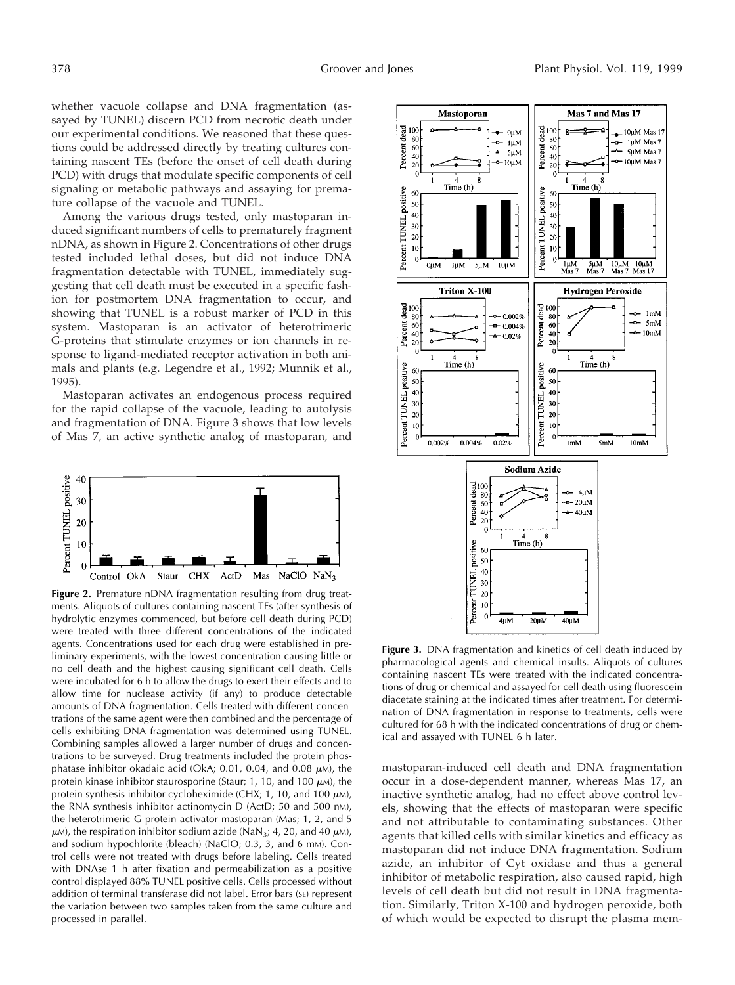whether vacuole collapse and DNA fragmentation (assayed by TUNEL) discern PCD from necrotic death under our experimental conditions. We reasoned that these questions could be addressed directly by treating cultures containing nascent TEs (before the onset of cell death during PCD) with drugs that modulate specific components of cell signaling or metabolic pathways and assaying for premature collapse of the vacuole and TUNEL.

Among the various drugs tested, only mastoparan induced significant numbers of cells to prematurely fragment nDNA, as shown in Figure 2. Concentrations of other drugs tested included lethal doses, but did not induce DNA fragmentation detectable with TUNEL, immediately suggesting that cell death must be executed in a specific fashion for postmortem DNA fragmentation to occur, and showing that TUNEL is a robust marker of PCD in this system. Mastoparan is an activator of heterotrimeric G-proteins that stimulate enzymes or ion channels in response to ligand-mediated receptor activation in both animals and plants (e.g. Legendre et al., 1992; Munnik et al., 1995).

Mastoparan activates an endogenous process required for the rapid collapse of the vacuole, leading to autolysis and fragmentation of DNA. Figure 3 shows that low levels of Mas 7, an active synthetic analog of mastoparan, and



**Figure 2.** Premature nDNA fragmentation resulting from drug treatments. Aliquots of cultures containing nascent TEs (after synthesis of hydrolytic enzymes commenced, but before cell death during PCD) were treated with three different concentrations of the indicated agents. Concentrations used for each drug were established in preliminary experiments, with the lowest concentration causing little or no cell death and the highest causing significant cell death. Cells were incubated for 6 h to allow the drugs to exert their effects and to allow time for nuclease activity (if any) to produce detectable amounts of DNA fragmentation. Cells treated with different concentrations of the same agent were then combined and the percentage of cells exhibiting DNA fragmentation was determined using TUNEL. Combining samples allowed a larger number of drugs and concentrations to be surveyed. Drug treatments included the protein phosphatase inhibitor okadaic acid (OkA; 0.01, 0.04, and 0.08  $\mu$ M), the protein kinase inhibitor staurosporine (Staur; 1, 10, and 100  $\mu$ M), the protein synthesis inhibitor cycloheximide (CHX; 1, 10, and 100  $\mu$ M), the RNA synthesis inhibitor actinomycin D (ActD; 50 and 500 nm), the heterotrimeric G-protein activator mastoparan (Mas; 1, 2, and 5  $\mu$ M), the respiration inhibitor sodium azide (NaN<sub>3</sub>; 4, 20, and 40  $\mu$ M), and sodium hypochlorite (bleach) (NaClO; 0.3, 3, and 6 mm). Control cells were not treated with drugs before labeling. Cells treated with DNAse 1 h after fixation and permeabilization as a positive control displayed 88% TUNEL positive cells. Cells processed without addition of terminal transferase did not label. Error bars (SE) represent the variation between two samples taken from the same culture and processed in parallel.



**Figure 3.** DNA fragmentation and kinetics of cell death induced by pharmacological agents and chemical insults. Aliquots of cultures containing nascent TEs were treated with the indicated concentrations of drug or chemical and assayed for cell death using fluorescein diacetate staining at the indicated times after treatment. For determination of DNA fragmentation in response to treatments, cells were cultured for 68 h with the indicated concentrations of drug or chemical and assayed with TUNEL 6 h later.

mastoparan-induced cell death and DNA fragmentation occur in a dose-dependent manner, whereas Mas 17, an inactive synthetic analog, had no effect above control levels, showing that the effects of mastoparan were specific and not attributable to contaminating substances. Other agents that killed cells with similar kinetics and efficacy as mastoparan did not induce DNA fragmentation. Sodium azide, an inhibitor of Cyt oxidase and thus a general inhibitor of metabolic respiration, also caused rapid, high levels of cell death but did not result in DNA fragmentation. Similarly, Triton X-100 and hydrogen peroxide, both of which would be expected to disrupt the plasma mem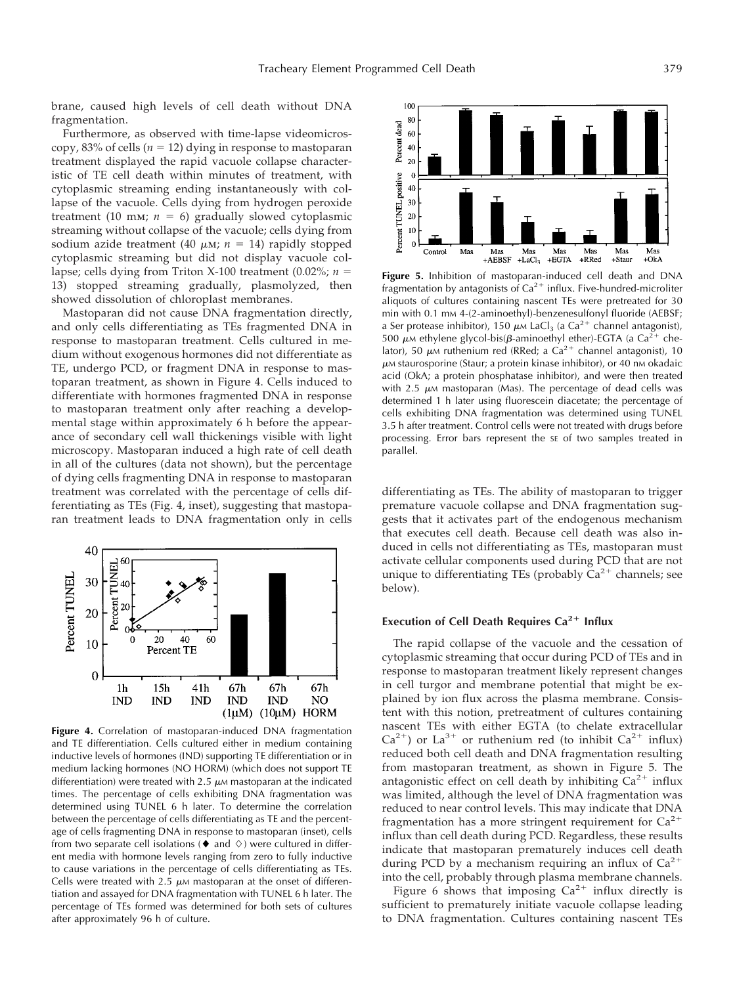brane, caused high levels of cell death without DNA fragmentation.

Furthermore, as observed with time-lapse videomicroscopy, 83% of cells  $(n = 12)$  dying in response to mastoparan treatment displayed the rapid vacuole collapse characteristic of TE cell death within minutes of treatment, with cytoplasmic streaming ending instantaneously with collapse of the vacuole. Cells dying from hydrogen peroxide treatment (10 mm;  $n = 6$ ) gradually slowed cytoplasmic streaming without collapse of the vacuole; cells dying from sodium azide treatment (40  $\mu$ m; *n* = 14) rapidly stopped cytoplasmic streaming but did not display vacuole collapse; cells dying from Triton X-100 treatment  $(0.02\%; n =$ 13) stopped streaming gradually, plasmolyzed, then showed dissolution of chloroplast membranes.

Mastoparan did not cause DNA fragmentation directly, and only cells differentiating as TEs fragmented DNA in response to mastoparan treatment. Cells cultured in medium without exogenous hormones did not differentiate as TE, undergo PCD, or fragment DNA in response to mastoparan treatment, as shown in Figure 4. Cells induced to differentiate with hormones fragmented DNA in response to mastoparan treatment only after reaching a developmental stage within approximately 6 h before the appearance of secondary cell wall thickenings visible with light microscopy. Mastoparan induced a high rate of cell death in all of the cultures (data not shown), but the percentage of dying cells fragmenting DNA in response to mastoparan treatment was correlated with the percentage of cells differentiating as TEs (Fig. 4, inset), suggesting that mastoparan treatment leads to DNA fragmentation only in cells



**Figure 4.** Correlation of mastoparan-induced DNA fragmentation and TE differentiation. Cells cultured either in medium containing inductive levels of hormones (IND) supporting TE differentiation or in medium lacking hormones (NO HORM) (which does not support TE differentiation) were treated with 2.5  $\mu$ M mastoparan at the indicated times. The percentage of cells exhibiting DNA fragmentation was determined using TUNEL 6 h later. To determine the correlation between the percentage of cells differentiating as TE and the percentage of cells fragmenting DNA in response to mastoparan (inset), cells from two separate cell isolations ( $\blacklozenge$  and  $\diamond$ ) were cultured in different media with hormone levels ranging from zero to fully inductive to cause variations in the percentage of cells differentiating as TEs. Cells were treated with 2.5  $\mu$ M mastoparan at the onset of differentiation and assayed for DNA fragmentation with TUNEL 6 h later. The percentage of TEs formed was determined for both sets of cultures after approximately 96 h of culture.



**Figure 5.** Inhibition of mastoparan-induced cell death and DNA fragmentation by antagonists of  $Ca^{2+}$  influx. Five-hundred-microliter aliquots of cultures containing nascent TEs were pretreated for 30 min with 0.1 mm 4-(2-aminoethyl)-benzenesulfonyl fluoride (AEBSF; a Ser protease inhibitor), 150  $\mu$ M LaCl<sub>3</sub> (a Ca<sup>2+</sup> channel antagonist), 500  $\mu$ M ethylene glycol-bis( $\beta$ -aminoethyl ether)-EGTA (a Ca<sup>2+</sup> chelator), 50  $\mu$ M ruthenium red (RRed; a Ca<sup>2+</sup> channel antagonist), 10  $\mu$ M staurosporine (Staur; a protein kinase inhibitor), or 40 nM okadaic acid (OkA; a protein phosphatase inhibitor), and were then treated with 2.5  $\mu$ M mastoparan (Mas). The percentage of dead cells was determined 1 h later using fluorescein diacetate; the percentage of cells exhibiting DNA fragmentation was determined using TUNEL 3.5 h after treatment. Control cells were not treated with drugs before processing. Error bars represent the SE of two samples treated in parallel.

differentiating as TEs. The ability of mastoparan to trigger premature vacuole collapse and DNA fragmentation suggests that it activates part of the endogenous mechanism that executes cell death. Because cell death was also induced in cells not differentiating as TEs, mastoparan must activate cellular components used during PCD that are not unique to differentiating TEs (probably  $Ca^{2+}$  channels; see below).

#### Execution of Cell Death Requires Ca<sup>2+</sup> Influx

The rapid collapse of the vacuole and the cessation of cytoplasmic streaming that occur during PCD of TEs and in response to mastoparan treatment likely represent changes in cell turgor and membrane potential that might be explained by ion flux across the plasma membrane. Consistent with this notion, pretreatment of cultures containing nascent TEs with either EGTA (to chelate extracellular  $Ca^{2+}$ ) or  $La^{3+}$  or ruthenium red (to inhibit  $Ca^{2+}$  influx) reduced both cell death and DNA fragmentation resulting from mastoparan treatment, as shown in Figure 5. The antagonistic effect on cell death by inhibiting  $Ca^{2+}$  influx was limited, although the level of DNA fragmentation was reduced to near control levels. This may indicate that DNA fragmentation has a more stringent requirement for  $Ca^{2+}$ influx than cell death during PCD. Regardless, these results indicate that mastoparan prematurely induces cell death during PCD by a mechanism requiring an influx of  $Ca^{2+}$ into the cell, probably through plasma membrane channels.

Figure 6 shows that imposing  $Ca^{2+}$  influx directly is sufficient to prematurely initiate vacuole collapse leading to DNA fragmentation. Cultures containing nascent TEs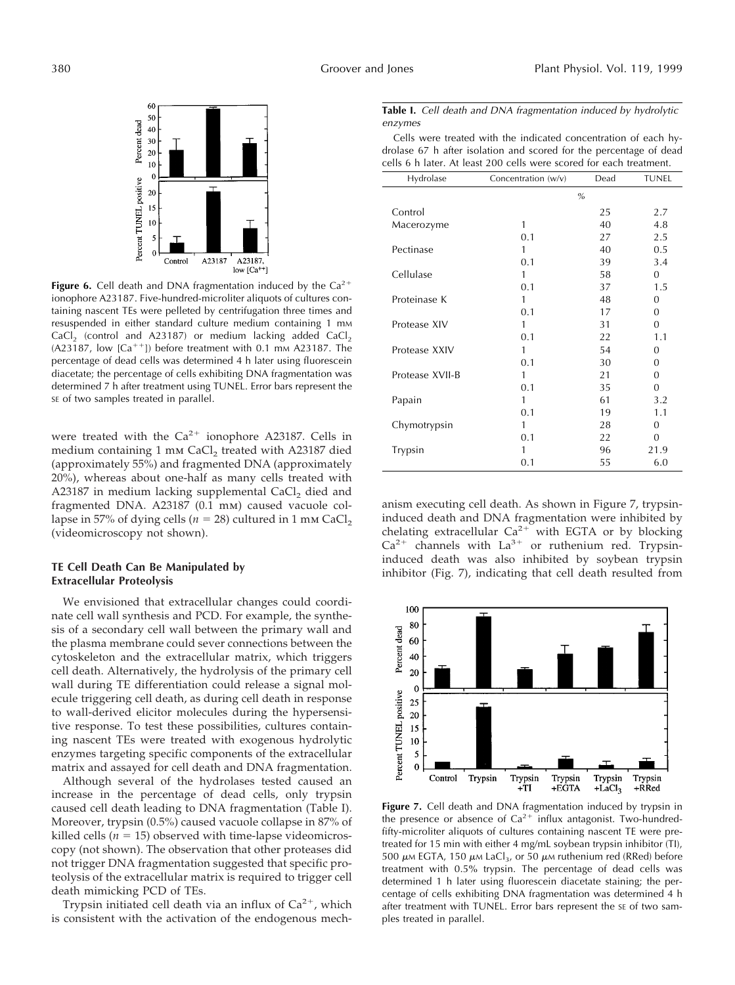

**Figure 6.** Cell death and DNA fragmentation induced by the  $Ca^{2+}$ ionophore A23187. Five-hundred-microliter aliquots of cultures containing nascent TEs were pelleted by centrifugation three times and resuspended in either standard culture medium containing 1 mm CaCl<sub>2</sub> (control and A23187) or medium lacking added CaCl<sub>2</sub> (A23187, low  $[Ca^{++}]$ ) before treatment with 0.1 mm A23187. The percentage of dead cells was determined 4 h later using fluorescein diacetate; the percentage of cells exhibiting DNA fragmentation was determined 7 h after treatment using TUNEL. Error bars represent the SE of two samples treated in parallel.

were treated with the  $Ca^{2+}$  ionophore A23187. Cells in medium containing 1 mm CaCl<sub>2</sub> treated with A23187 died (approximately 55%) and fragmented DNA (approximately 20%), whereas about one-half as many cells treated with A23187 in medium lacking supplemental  $CaCl<sub>2</sub>$  died and fragmented DNA. A23187 (0.1 mm) caused vacuole collapse in 57% of dying cells ( $n = 28$ ) cultured in 1 mm CaCl<sub>2</sub> (videomicroscopy not shown).

#### **TE Cell Death Can Be Manipulated by Extracellular Proteolysis**

We envisioned that extracellular changes could coordinate cell wall synthesis and PCD. For example, the synthesis of a secondary cell wall between the primary wall and the plasma membrane could sever connections between the cytoskeleton and the extracellular matrix, which triggers cell death. Alternatively, the hydrolysis of the primary cell wall during TE differentiation could release a signal molecule triggering cell death, as during cell death in response to wall-derived elicitor molecules during the hypersensitive response. To test these possibilities, cultures containing nascent TEs were treated with exogenous hydrolytic enzymes targeting specific components of the extracellular matrix and assayed for cell death and DNA fragmentation.

Although several of the hydrolases tested caused an increase in the percentage of dead cells, only trypsin caused cell death leading to DNA fragmentation (Table I). Moreover, trypsin (0.5%) caused vacuole collapse in 87% of killed cells ( $n = 15$ ) observed with time-lapse videomicroscopy (not shown). The observation that other proteases did not trigger DNA fragmentation suggested that specific proteolysis of the extracellular matrix is required to trigger cell death mimicking PCD of TEs.

Trypsin initiated cell death via an influx of  $Ca^{2+}$ , which is consistent with the activation of the endogenous mech-

|         |  |  | <b>Table I.</b> Cell death and DNA fragmentation induced by hydrolytic |  |  |
|---------|--|--|------------------------------------------------------------------------|--|--|
| enzvmes |  |  |                                                                        |  |  |

Cells were treated with the indicated concentration of each hydrolase 67 h after isolation and scored for the percentage of dead cells 6 h later. At least 200 cells were scored for each treatment.

| Hydrolase       | Concentration (w/v) | Dead | <b>TUNEL</b>   |
|-----------------|---------------------|------|----------------|
|                 |                     | $\%$ |                |
| Control         |                     | 25   | 2.7            |
| Macerozyme      | 1                   | 40   | 4.8            |
|                 | 0.1                 | 27   | 2.5            |
| Pectinase       | 1                   | 40   | 0.5            |
|                 | 0.1                 | 39   | 3.4            |
| Cellulase       | 1                   | 58   | 0              |
|                 | 0.1                 | 37   | 1.5            |
| Proteinase K    | 1                   | 48   | 0              |
|                 | 0.1                 | 17   | $\overline{0}$ |
| Protease XIV    | 1                   | 31   | $\overline{0}$ |
|                 | 0.1                 | 22   | 1.1            |
| Protease XXIV   | 1                   | 54   | 0              |
|                 | 0.1                 | 30   | 0              |
| Protease XVII-B | 1                   | 21   | $\overline{0}$ |
|                 | 0.1                 | 35   | $\overline{0}$ |
| Papain          | 1                   | 61   | 3.2            |
|                 | 0.1                 | 19   | 1.1            |
| Chymotrypsin    | 1                   | 28   | 0              |
|                 | 0.1                 | 22   | $\overline{0}$ |
| Trypsin         | 1                   | 96   | 21.9           |
|                 | 0.1                 | 55   | 6.0            |

anism executing cell death. As shown in Figure 7, trypsininduced death and DNA fragmentation were inhibited by chelating extracellular  $Ca^{2+}$  with EGTA or by blocking  $Ca^{2+}$  channels with  $La^{3+}$  or ruthenium red. Trypsininduced death was also inhibited by soybean trypsin inhibitor (Fig. 7), indicating that cell death resulted from



**Figure 7.** Cell death and DNA fragmentation induced by trypsin in the presence or absence of  $Ca^{2+}$  influx antagonist. Two-hundredfifty-microliter aliquots of cultures containing nascent TE were pretreated for 15 min with either 4 mg/mL soybean trypsin inhibitor (TI), 500  $\mu$ M EGTA, 150  $\mu$ M LaCl<sub>3</sub>, or 50  $\mu$ M ruthenium red (RRed) before treatment with 0.5% trypsin. The percentage of dead cells was determined 1 h later using fluorescein diacetate staining; the percentage of cells exhibiting DNA fragmentation was determined 4 h after treatment with TUNEL. Error bars represent the SE of two samples treated in parallel.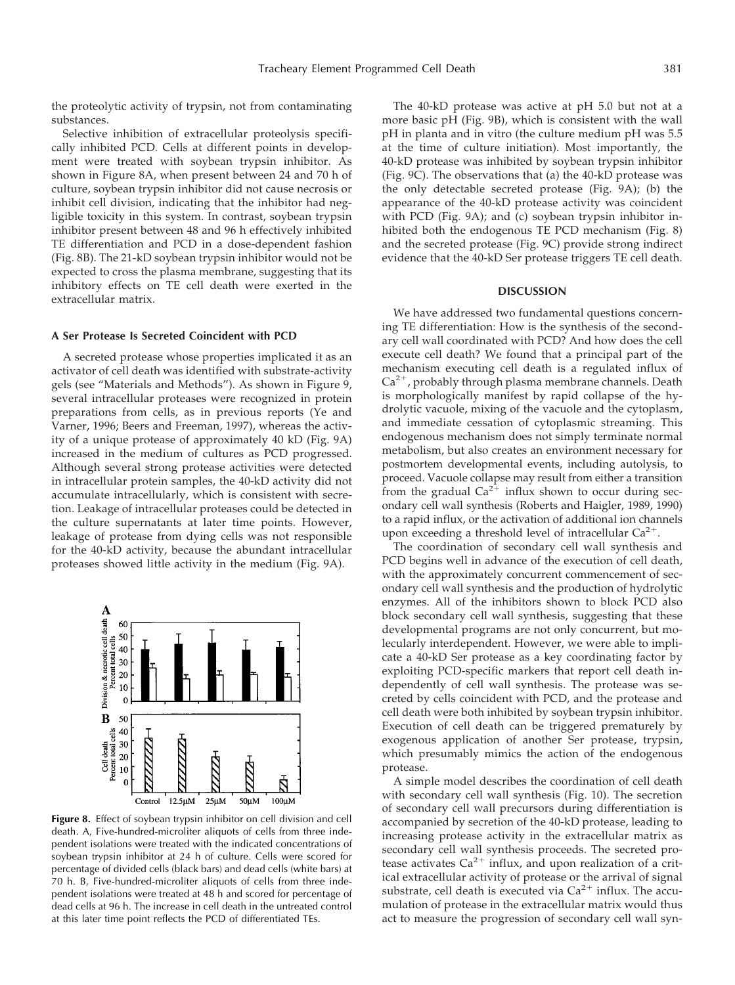the proteolytic activity of trypsin, not from contaminating substances.

Selective inhibition of extracellular proteolysis specifically inhibited PCD. Cells at different points in development were treated with soybean trypsin inhibitor. As shown in Figure 8A, when present between 24 and 70 h of culture, soybean trypsin inhibitor did not cause necrosis or inhibit cell division, indicating that the inhibitor had negligible toxicity in this system. In contrast, soybean trypsin inhibitor present between 48 and 96 h effectively inhibited TE differentiation and PCD in a dose-dependent fashion (Fig. 8B). The 21-kD soybean trypsin inhibitor would not be expected to cross the plasma membrane, suggesting that its inhibitory effects on TE cell death were exerted in the extracellular matrix.

## **A Ser Protease Is Secreted Coincident with PCD**

A secreted protease whose properties implicated it as an activator of cell death was identified with substrate-activity gels (see "Materials and Methods"). As shown in Figure 9, several intracellular proteases were recognized in protein preparations from cells, as in previous reports (Ye and Varner, 1996; Beers and Freeman, 1997), whereas the activity of a unique protease of approximately 40 kD (Fig. 9A) increased in the medium of cultures as PCD progressed. Although several strong protease activities were detected in intracellular protein samples, the 40-kD activity did not accumulate intracellularly, which is consistent with secretion. Leakage of intracellular proteases could be detected in the culture supernatants at later time points. However, leakage of protease from dying cells was not responsible for the 40-kD activity, because the abundant intracellular proteases showed little activity in the medium (Fig. 9A).



**Figure 8.** Effect of soybean trypsin inhibitor on cell division and cell death. A, Five-hundred-microliter aliquots of cells from three independent isolations were treated with the indicated concentrations of soybean trypsin inhibitor at 24 h of culture. Cells were scored for percentage of divided cells (black bars) and dead cells (white bars) at 70 h. B, Five-hundred-microliter aliquots of cells from three independent isolations were treated at 48 h and scored for percentage of dead cells at 96 h. The increase in cell death in the untreated control at this later time point reflects the PCD of differentiated TEs.

The 40-kD protease was active at pH 5.0 but not at a more basic pH (Fig. 9B), which is consistent with the wall pH in planta and in vitro (the culture medium pH was 5.5 at the time of culture initiation). Most importantly, the 40-kD protease was inhibited by soybean trypsin inhibitor (Fig. 9C). The observations that (a) the 40-kD protease was the only detectable secreted protease (Fig. 9A); (b) the appearance of the 40-kD protease activity was coincident with PCD (Fig. 9A); and (c) soybean trypsin inhibitor inhibited both the endogenous TE PCD mechanism (Fig. 8) and the secreted protease (Fig. 9C) provide strong indirect evidence that the 40-kD Ser protease triggers TE cell death.

#### **DISCUSSION**

We have addressed two fundamental questions concerning TE differentiation: How is the synthesis of the secondary cell wall coordinated with PCD? And how does the cell execute cell death? We found that a principal part of the mechanism executing cell death is a regulated influx of  $Ca<sup>2+</sup>$ , probably through plasma membrane channels. Death is morphologically manifest by rapid collapse of the hydrolytic vacuole, mixing of the vacuole and the cytoplasm, and immediate cessation of cytoplasmic streaming. This endogenous mechanism does not simply terminate normal metabolism, but also creates an environment necessary for postmortem developmental events, including autolysis, to proceed. Vacuole collapse may result from either a transition from the gradual  $Ca^{2+}$  influx shown to occur during secondary cell wall synthesis (Roberts and Haigler, 1989, 1990) to a rapid influx, or the activation of additional ion channels upon exceeding a threshold level of intracellular  $Ca^{2+}$ .

The coordination of secondary cell wall synthesis and PCD begins well in advance of the execution of cell death, with the approximately concurrent commencement of secondary cell wall synthesis and the production of hydrolytic enzymes. All of the inhibitors shown to block PCD also block secondary cell wall synthesis, suggesting that these developmental programs are not only concurrent, but molecularly interdependent. However, we were able to implicate a 40-kD Ser protease as a key coordinating factor by exploiting PCD-specific markers that report cell death independently of cell wall synthesis. The protease was secreted by cells coincident with PCD, and the protease and cell death were both inhibited by soybean trypsin inhibitor. Execution of cell death can be triggered prematurely by exogenous application of another Ser protease, trypsin, which presumably mimics the action of the endogenous protease.

A simple model describes the coordination of cell death with secondary cell wall synthesis (Fig. 10). The secretion of secondary cell wall precursors during differentiation is accompanied by secretion of the 40-kD protease, leading to increasing protease activity in the extracellular matrix as secondary cell wall synthesis proceeds. The secreted protease activates  $Ca^{2+}$  influx, and upon realization of a critical extracellular activity of protease or the arrival of signal substrate, cell death is executed via  $Ca^{2+}$  influx. The accumulation of protease in the extracellular matrix would thus act to measure the progression of secondary cell wall syn-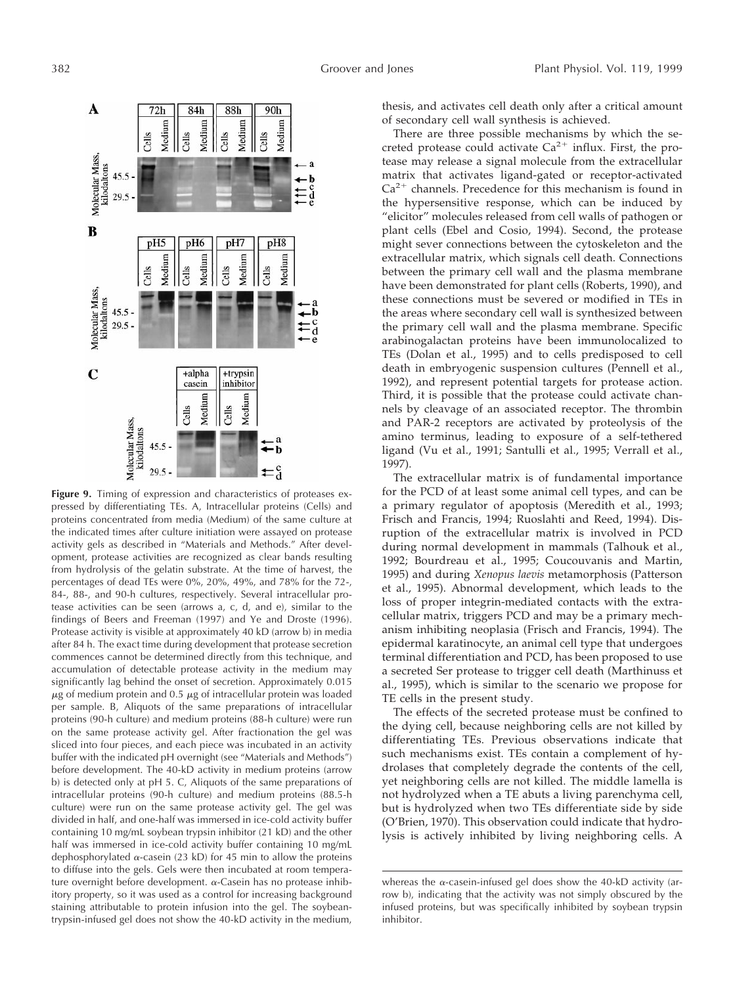

**Figure 9.** Timing of expression and characteristics of proteases expressed by differentiating TEs. A, Intracellular proteins (Cells) and proteins concentrated from media (Medium) of the same culture at the indicated times after culture initiation were assayed on protease activity gels as described in "Materials and Methods." After development, protease activities are recognized as clear bands resulting from hydrolysis of the gelatin substrate. At the time of harvest, the percentages of dead TEs were 0%, 20%, 49%, and 78% for the 72-, 84-, 88-, and 90-h cultures, respectively. Several intracellular protease activities can be seen (arrows a, c, d, and e), similar to the findings of Beers and Freeman (1997) and Ye and Droste (1996). Protease activity is visible at approximately 40 kD (arrow b) in media after 84 h. The exact time during development that protease secretion commences cannot be determined directly from this technique, and accumulation of detectable protease activity in the medium may significantly lag behind the onset of secretion. Approximately 0.015  $\mu$ g of medium protein and 0.5  $\mu$ g of intracellular protein was loaded per sample. B, Aliquots of the same preparations of intracellular proteins (90-h culture) and medium proteins (88-h culture) were run on the same protease activity gel. After fractionation the gel was sliced into four pieces, and each piece was incubated in an activity buffer with the indicated pH overnight (see "Materials and Methods") before development. The 40-kD activity in medium proteins (arrow b) is detected only at pH 5. C, Aliquots of the same preparations of intracellular proteins (90-h culture) and medium proteins (88.5-h culture) were run on the same protease activity gel. The gel was divided in half, and one-half was immersed in ice-cold activity buffer containing 10 mg/mL soybean trypsin inhibitor (21 kD) and the other half was immersed in ice-cold activity buffer containing 10 mg/mL dephosphorylated  $\alpha$ -casein (23 kD) for 45 min to allow the proteins to diffuse into the gels. Gels were then incubated at room temperature overnight before development.  $\alpha$ -Casein has no protease inhibitory property, so it was used as a control for increasing background staining attributable to protein infusion into the gel. The soybeantrypsin-infused gel does not show the 40-kD activity in the medium,

thesis, and activates cell death only after a critical amount of secondary cell wall synthesis is achieved.

There are three possible mechanisms by which the secreted protease could activate  $Ca^{2+}$  influx. First, the protease may release a signal molecule from the extracellular matrix that activates ligand-gated or receptor-activated  $Ca<sup>2+</sup>$  channels. Precedence for this mechanism is found in the hypersensitive response, which can be induced by "elicitor" molecules released from cell walls of pathogen or plant cells (Ebel and Cosio, 1994). Second, the protease might sever connections between the cytoskeleton and the extracellular matrix, which signals cell death. Connections between the primary cell wall and the plasma membrane have been demonstrated for plant cells (Roberts, 1990), and these connections must be severed or modified in TEs in the areas where secondary cell wall is synthesized between the primary cell wall and the plasma membrane. Specific arabinogalactan proteins have been immunolocalized to TEs (Dolan et al., 1995) and to cells predisposed to cell death in embryogenic suspension cultures (Pennell et al., 1992), and represent potential targets for protease action. Third, it is possible that the protease could activate channels by cleavage of an associated receptor. The thrombin and PAR-2 receptors are activated by proteolysis of the amino terminus, leading to exposure of a self-tethered ligand (Vu et al., 1991; Santulli et al., 1995; Verrall et al., 1997).

The extracellular matrix is of fundamental importance for the PCD of at least some animal cell types, and can be a primary regulator of apoptosis (Meredith et al., 1993; Frisch and Francis, 1994; Ruoslahti and Reed, 1994). Disruption of the extracellular matrix is involved in PCD during normal development in mammals (Talhouk et al., 1992; Bourdreau et al., 1995; Coucouvanis and Martin, 1995) and during *Xenopus laevis* metamorphosis (Patterson et al., 1995). Abnormal development, which leads to the loss of proper integrin-mediated contacts with the extracellular matrix, triggers PCD and may be a primary mechanism inhibiting neoplasia (Frisch and Francis, 1994). The epidermal karatinocyte, an animal cell type that undergoes terminal differentiation and PCD, has been proposed to use a secreted Ser protease to trigger cell death (Marthinuss et al., 1995), which is similar to the scenario we propose for TE cells in the present study.

The effects of the secreted protease must be confined to the dying cell, because neighboring cells are not killed by differentiating TEs. Previous observations indicate that such mechanisms exist. TEs contain a complement of hydrolases that completely degrade the contents of the cell, yet neighboring cells are not killed. The middle lamella is not hydrolyzed when a TE abuts a living parenchyma cell, but is hydrolyzed when two TEs differentiate side by side (O'Brien, 1970). This observation could indicate that hydrolysis is actively inhibited by living neighboring cells. A

whereas the  $\alpha$ -casein-infused gel does show the 40-kD activity (arrow b), indicating that the activity was not simply obscured by the infused proteins, but was specifically inhibited by soybean trypsin inhibitor.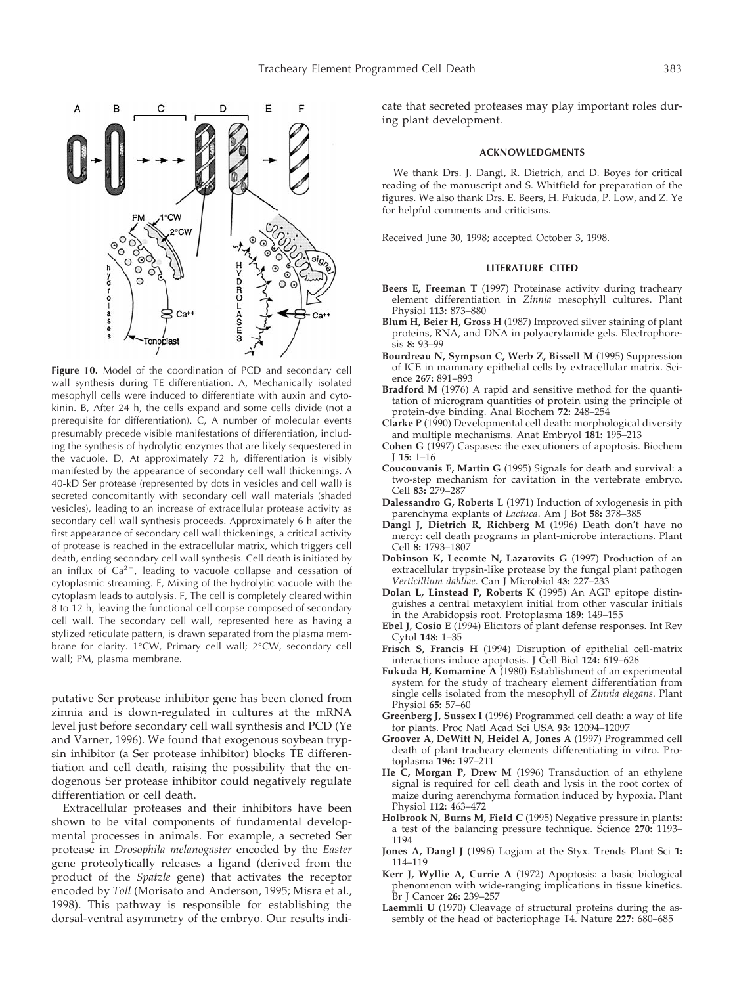

**Figure 10.** Model of the coordination of PCD and secondary cell wall synthesis during TE differentiation. A, Mechanically isolated mesophyll cells were induced to differentiate with auxin and cytokinin. B, After 24 h, the cells expand and some cells divide (not a prerequisite for differentiation). C, A number of molecular events presumably precede visible manifestations of differentiation, including the synthesis of hydrolytic enzymes that are likely sequestered in the vacuole. D, At approximately 72 h, differentiation is visibly manifested by the appearance of secondary cell wall thickenings. A 40-kD Ser protease (represented by dots in vesicles and cell wall) is secreted concomitantly with secondary cell wall materials (shaded vesicles), leading to an increase of extracellular protease activity as secondary cell wall synthesis proceeds. Approximately 6 h after the first appearance of secondary cell wall thickenings, a critical activity of protease is reached in the extracellular matrix, which triggers cell death, ending secondary cell wall synthesis. Cell death is initiated by an influx of  $Ca^{2+}$ , leading to vacuole collapse and cessation of cytoplasmic streaming. E, Mixing of the hydrolytic vacuole with the cytoplasm leads to autolysis. F, The cell is completely cleared within 8 to 12 h, leaving the functional cell corpse composed of secondary cell wall. The secondary cell wall, represented here as having a stylized reticulate pattern, is drawn separated from the plasma membrane for clarity. 1°CW, Primary cell wall; 2°CW, secondary cell wall; PM, plasma membrane.

putative Ser protease inhibitor gene has been cloned from zinnia and is down-regulated in cultures at the mRNA level just before secondary cell wall synthesis and PCD (Ye and Varner, 1996). We found that exogenous soybean trypsin inhibitor (a Ser protease inhibitor) blocks TE differentiation and cell death, raising the possibility that the endogenous Ser protease inhibitor could negatively regulate differentiation or cell death.

Extracellular proteases and their inhibitors have been shown to be vital components of fundamental developmental processes in animals. For example, a secreted Ser protease in *Drosophila melanogaster* encoded by the *Easter* gene proteolytically releases a ligand (derived from the product of the *Spatzle* gene) that activates the receptor encoded by *Toll* (Morisato and Anderson, 1995; Misra et al., 1998). This pathway is responsible for establishing the dorsal-ventral asymmetry of the embryo. Our results indicate that secreted proteases may play important roles during plant development.

#### **ACKNOWLEDGMENTS**

We thank Drs. J. Dangl, R. Dietrich, and D. Boyes for critical reading of the manuscript and S. Whitfield for preparation of the figures. We also thank Drs. E. Beers, H. Fukuda, P. Low, and Z. Ye for helpful comments and criticisms.

Received June 30, 1998; accepted October 3, 1998.

#### **LITERATURE CITED**

- **Beers E, Freeman T** (1997) Proteinase activity during tracheary element differentiation in *Zinnia* mesophyll cultures. Plant Physiol **113:** 873–880
- **Blum H, Beier H, Gross H** (1987) Improved silver staining of plant proteins, RNA, and DNA in polyacrylamide gels. Electrophoresis **8:** 93–99
- **Bourdreau N, Sympson C, Werb Z, Bissell M** (1995) Suppression of ICE in mammary epithelial cells by extracellular matrix. Science **267:** 891–893
- **Bradford M** (1976) A rapid and sensitive method for the quantitation of microgram quantities of protein using the principle of protein-dye binding. Anal Biochem **72:** 248–254
- Clarke P (1990) Developmental cell death: morphological diversity and multiple mechanisms. Anat Embryol **181:** 195–213
- **Cohen G** (1997) Caspases: the executioners of apoptosis. Biochem J **15:** 1–16
- **Coucouvanis E, Martin G** (1995) Signals for death and survival: a two-step mechanism for cavitation in the vertebrate embryo. Cell **83:** 279–287
- **Dalessandro G, Roberts L** (1971) Induction of xylogenesis in pith parenchyma explants of *Lactuca*. Am J Bot **58:** 378–385
- **Dangl J, Dietrich R, Richberg M** (1996) Death don't have no mercy: cell death programs in plant-microbe interactions. Plant Cell **8:** 1793–1807
- **Dobinson K, Lecomte N, Lazarovits G** (1997) Production of an extracellular trypsin-like protease by the fungal plant pathogen *Verticillium dahliae*. Can J Microbiol **43:** 227–233
- **Dolan L, Linstead P, Roberts K** (1995) An AGP epitope distinguishes a central metaxylem initial from other vascular initials in the Arabidopsis root. Protoplasma **189:** 149–155
- **Ebel J, Cosio E** (1994) Elicitors of plant defense responses. Int Rev Cytol **148:** 1–35
- **Frisch S, Francis H** (1994) Disruption of epithelial cell-matrix interactions induce apoptosis. J Cell Biol **124:** 619–626
- **Fukuda H, Komamine A** (1980) Establishment of an experimental system for the study of tracheary element differentiation from single cells isolated from the mesophyll of *Zinnia elegans*. Plant Physiol **65:** 57–60
- **Greenberg J, Sussex I** (1996) Programmed cell death: a way of life for plants. Proc Natl Acad Sci USA **93:** 12094–12097
- **Groover A, DeWitt N, Heidel A, Jones A** (1997) Programmed cell death of plant tracheary elements differentiating in vitro. Protoplasma **196:** 197–211
- **He C, Morgan P, Drew M** (1996) Transduction of an ethylene signal is required for cell death and lysis in the root cortex of maize during aerenchyma formation induced by hypoxia. Plant Physiol **112:** 463–472
- **Holbrook N, Burns M, Field C** (1995) Negative pressure in plants: a test of the balancing pressure technique. Science **270:** 1193– 1194
- **Jones A, Dangl J** (1996) Logjam at the Styx. Trends Plant Sci **1:** 114–119
- **Kerr J, Wyllie A, Currie A** (1972) Apoptosis: a basic biological phenomenon with wide-ranging implications in tissue kinetics. Br J Cancer **26:** 239–257
- **Laemmli U** (1970) Cleavage of structural proteins during the assembly of the head of bacteriophage T4. Nature **227:** 680–685